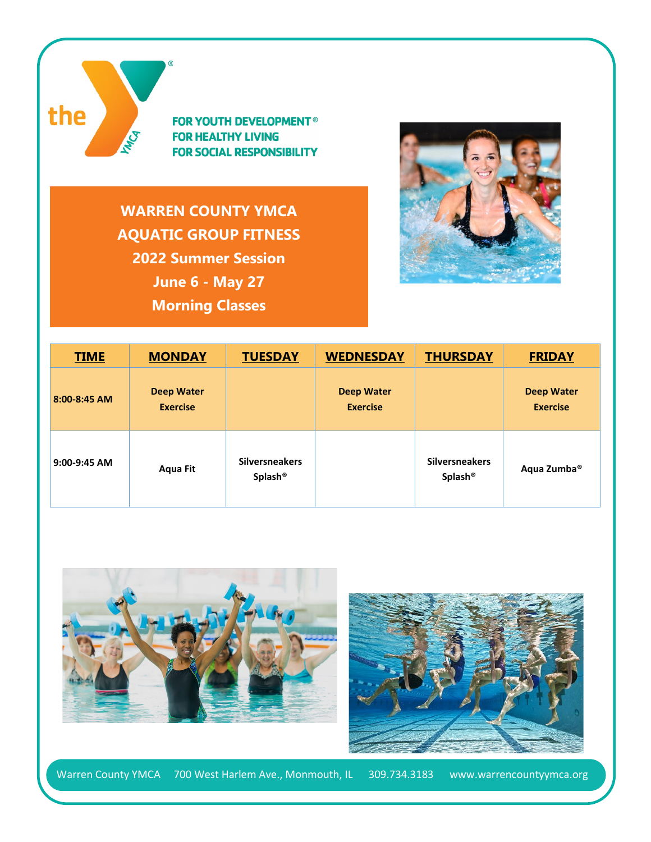

**FOR YOUTH DEVELOPMENT® FOR HEALTHY LIVING FOR SOCIAL RESPONSIBILITY** 

**WARREN COUNTY YMCA AQUATIC GROUP FITNESS 2022 Summer Session June 6 - May 27 Morning Classes**



| <b>TIME</b>  | <b>MONDAY</b>                        | <b>TUESDAY</b>                               | <b>WEDNESDAY</b>                     | <b>THURSDAY</b>                              | <b>FRIDAY</b>                        |
|--------------|--------------------------------------|----------------------------------------------|--------------------------------------|----------------------------------------------|--------------------------------------|
| 8:00-8:45 AM | <b>Deep Water</b><br><b>Exercise</b> |                                              | <b>Deep Water</b><br><b>Exercise</b> |                                              | <b>Deep Water</b><br><b>Exercise</b> |
| 9:00-9:45 AM | Aqua Fit                             | <b>Silversneakers</b><br>Splash <sup>®</sup> |                                      | <b>Silversneakers</b><br>Splash <sup>®</sup> | Aqua Zumba <sup>®</sup>              |





Warren County YMCA 700 West Harlem Ave., Monmouth, IL 309.734.3183 www.warrencountyymca.org